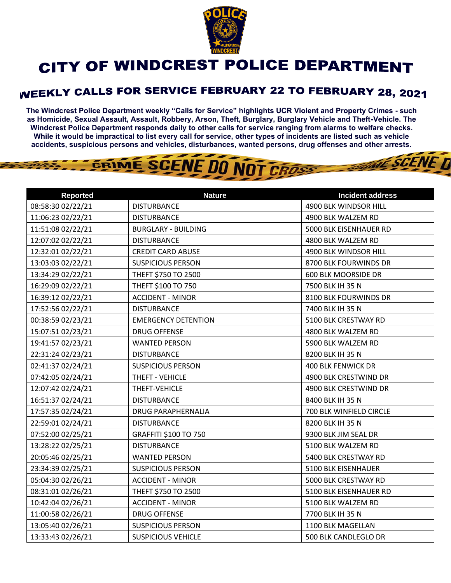

## CITY OF WINDCREST POLICE DEPARTMENT

## **WEEKLY CALLS FOR SERVICE FEBRUARY 22 TO FEBRUARY 28, 2021**

**The Windcrest Police Department weekly "Calls for Service" highlights UCR Violent and Property Crimes - such as Homicide, Sexual Assault, Assault, Robbery, Arson, Theft, Burglary, Burglary Vehicle and Theft-Vehicle. The Windcrest Police Department responds daily to other calls for service ranging from alarms to welfare checks. While it would be impractical to list every call for service, other types of incidents are listed such as vehicle accidents, suspicious persons and vehicles, disturbances, wanted persons, drug offenses and other arrests.** 

**WE SCENE T** 

## GRIME SCENE DO NOT CROSS

| <b>Reported</b>   | <b>Nature</b>              | <b>Incident address</b> |
|-------------------|----------------------------|-------------------------|
| 08:58:30 02/22/21 | <b>DISTURBANCE</b>         | 4900 BLK WINDSOR HILL   |
| 11:06:23 02/22/21 | <b>DISTURBANCE</b>         | 4900 BLK WALZEM RD      |
| 11:51:08 02/22/21 | <b>BURGLARY - BUILDING</b> | 5000 BLK EISENHAUER RD  |
| 12:07:02 02/22/21 | <b>DISTURBANCE</b>         | 4800 BLK WALZEM RD      |
| 12:32:01 02/22/21 | <b>CREDIT CARD ABUSE</b>   | 4900 BLK WINDSOR HILL   |
| 13:03:03 02/22/21 | <b>SUSPICIOUS PERSON</b>   | 8700 BLK FOURWINDS DR   |
| 13:34:29 02/22/21 | THEFT \$750 TO 2500        | 600 BLK MOORSIDE DR     |
| 16:29:09 02/22/21 | THEFT \$100 TO 750         | 7500 BLK IH 35 N        |
| 16:39:12 02/22/21 | <b>ACCIDENT - MINOR</b>    | 8100 BLK FOURWINDS DR   |
| 17:52:56 02/22/21 | <b>DISTURBANCE</b>         | 7400 BLK IH 35 N        |
| 00:38:59 02/23/21 | <b>EMERGENCY DETENTION</b> | 5100 BLK CRESTWAY RD    |
| 15:07:51 02/23/21 | <b>DRUG OFFENSE</b>        | 4800 BLK WALZEM RD      |
| 19:41:57 02/23/21 | <b>WANTED PERSON</b>       | 5900 BLK WALZEM RD      |
| 22:31:24 02/23/21 | <b>DISTURBANCE</b>         | 8200 BLK IH 35 N        |
| 02:41:37 02/24/21 | <b>SUSPICIOUS PERSON</b>   | 400 BLK FENWICK DR      |
| 07:42:05 02/24/21 | THEFT - VEHICLE            | 4900 BLK CRESTWIND DR   |
| 12:07:42 02/24/21 | THEFT-VEHICLE              | 4900 BLK CRESTWIND DR   |
| 16:51:37 02/24/21 | <b>DISTURBANCE</b>         | 8400 BLK IH 35 N        |
| 17:57:35 02/24/21 | <b>DRUG PARAPHERNALIA</b>  | 700 BLK WINFIELD CIRCLE |
| 22:59:01 02/24/21 | <b>DISTURBANCE</b>         | 8200 BLK IH 35 N        |
| 07:52:00 02/25/21 | GRAFFITI \$100 TO 750      | 9300 BLK JIM SEAL DR    |
| 13:28:22 02/25/21 | <b>DISTURBANCE</b>         | 5100 BLK WALZEM RD      |
| 20:05:46 02/25/21 | <b>WANTED PERSON</b>       | 5400 BLK CRESTWAY RD    |
| 23:34:39 02/25/21 | <b>SUSPICIOUS PERSON</b>   | 5100 BLK EISENHAUER     |
| 05:04:30 02/26/21 | <b>ACCIDENT - MINOR</b>    | 5000 BLK CRESTWAY RD    |
| 08:31:01 02/26/21 | THEFT \$750 TO 2500        | 5100 BLK EISENHAUER RD  |
| 10:42:04 02/26/21 | <b>ACCIDENT - MINOR</b>    | 5100 BLK WALZEM RD      |
| 11:00:58 02/26/21 | <b>DRUG OFFENSE</b>        | 7700 BLK IH 35 N        |
| 13:05:40 02/26/21 | <b>SUSPICIOUS PERSON</b>   | 1100 BLK MAGELLAN       |
| 13:33:43 02/26/21 | <b>SUSPICIOUS VEHICLE</b>  | 500 BLK CANDLEGLO DR    |